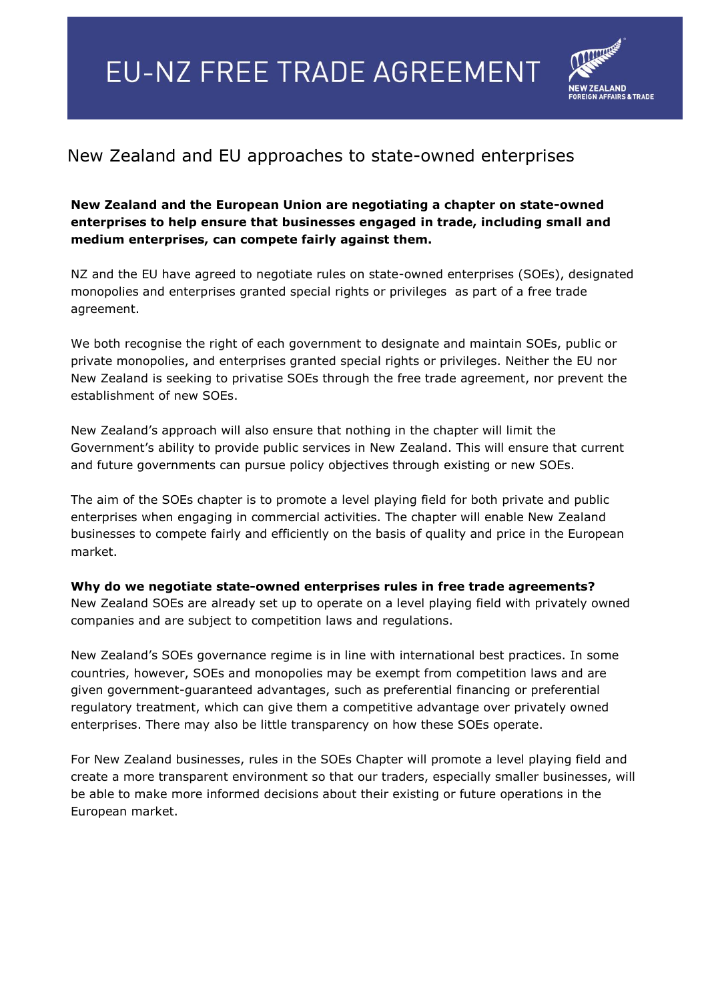## **EU-NZ FREE TRADE AGREEMENT**



## New Zealand and EU approaches to state-owned enterprises

## **New Zealand and the European Union are negotiating a chapter on state-owned enterprises to help ensure that businesses engaged in trade, including small and medium enterprises, can compete fairly against them.**

NZ and the EU have agreed to negotiate rules on state-owned enterprises (SOEs), designated monopolies and enterprises granted special rights or privileges as part of a free trade agreement.

We both recognise the right of each government to designate and maintain SOEs, public or private monopolies, and enterprises granted special rights or privileges. Neither the EU nor New Zealand is seeking to privatise SOEs through the free trade agreement, nor prevent the establishment of new SOEs.

New Zealand's approach will also ensure that nothing in the chapter will limit the Government's ability to provide public services in New Zealand. This will ensure that current and future governments can pursue policy objectives through existing or new SOEs.

The aim of the SOEs chapter is to promote a level playing field for both private and public enterprises when engaging in commercial activities. The chapter will enable New Zealand businesses to compete fairly and efficiently on the basis of quality and price in the European market.

**Why do we negotiate state-owned enterprises rules in free trade agreements?** New Zealand SOEs are already set up to operate on a level playing field with privately owned companies and are subject to competition laws and regulations.

New Zealand's SOEs governance regime is in line with international best practices. In some countries, however, SOEs and monopolies may be exempt from competition laws and are given government-guaranteed advantages, such as preferential financing or preferential regulatory treatment, which can give them a competitive advantage over privately owned enterprises. There may also be little transparency on how these SOEs operate.

For New Zealand businesses, rules in the SOEs Chapter will promote a level playing field and create a more transparent environment so that our traders, especially smaller businesses, will be able to make more informed decisions about their existing or future operations in the European market.